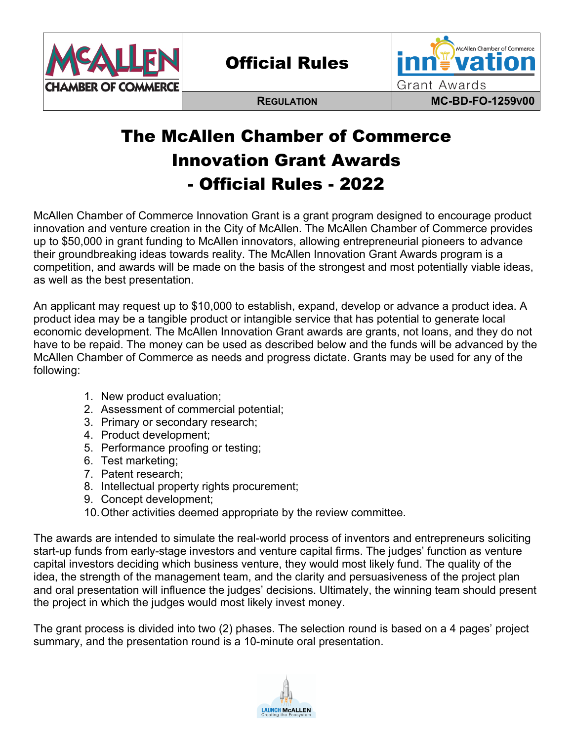

Official Rules



# The McAllen Chamber of Commerce Innovation Grant Awards - Official Rules - 2022

McAllen Chamber of Commerce Innovation Grant is a grant program designed to encourage product innovation and venture creation in the City of McAllen. The McAllen Chamber of Commerce provides up to \$50,000 in grant funding to McAllen innovators, allowing entrepreneurial pioneers to advance their groundbreaking ideas towards reality. The McAllen Innovation Grant Awards program is a competition, and awards will be made on the basis of the strongest and most potentially viable ideas, as well as the best presentation.

An applicant may request up to \$10,000 to establish, expand, develop or advance a product idea. A product idea may be a tangible product or intangible service that has potential to generate local economic development. The McAllen Innovation Grant awards are grants, not loans, and they do not have to be repaid. The money can be used as described below and the funds will be advanced by the McAllen Chamber of Commerce as needs and progress dictate. Grants may be used for any of the following:

- 1. New product evaluation;
- 2. Assessment of commercial potential;
- 3. Primary or secondary research;
- 4. Product development;
- 5. Performance proofing or testing;
- 6. Test marketing;
- 7. Patent research;
- 8. Intellectual property rights procurement;
- 9. Concept development;
- 10.Other activities deemed appropriate by the review committee.

The awards are intended to simulate the real-world process of inventors and entrepreneurs soliciting start-up funds from early-stage investors and venture capital firms. The judges' function as venture capital investors deciding which business venture, they would most likely fund. The quality of the idea, the strength of the management team, and the clarity and persuasiveness of the project plan and oral presentation will influence the judges' decisions. Ultimately, the winning team should present the project in which the judges would most likely invest money.

The grant process is divided into two (2) phases. The selection round is based on a 4 pages' project summary, and the presentation round is a 10-minute oral presentation.

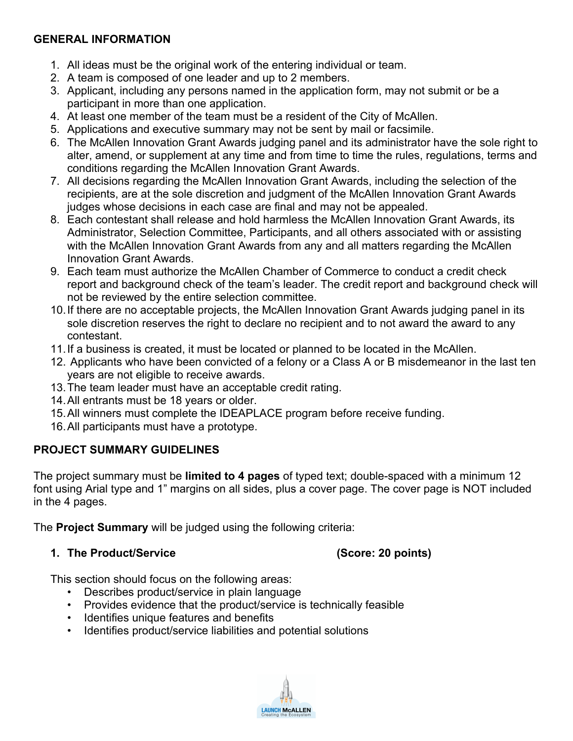### **GENERAL INFORMATION**

- 1. All ideas must be the original work of the entering individual or team.
- 2. A team is composed of one leader and up to 2 members.
- 3. Applicant, including any persons named in the application form, may not submit or be a participant in more than one application.
- 4. At least one member of the team must be a resident of the City of McAllen.
- 5. Applications and executive summary may not be sent by mail or facsimile.
- 6. The McAllen Innovation Grant Awards judging panel and its administrator have the sole right to alter, amend, or supplement at any time and from time to time the rules, regulations, terms and conditions regarding the McAllen Innovation Grant Awards.
- 7. All decisions regarding the McAllen Innovation Grant Awards, including the selection of the recipients, are at the sole discretion and judgment of the McAllen Innovation Grant Awards judges whose decisions in each case are final and may not be appealed.
- 8. Each contestant shall release and hold harmless the McAllen Innovation Grant Awards, its Administrator, Selection Committee, Participants, and all others associated with or assisting with the McAllen Innovation Grant Awards from any and all matters regarding the McAllen Innovation Grant Awards.
- 9. Each team must authorize the McAllen Chamber of Commerce to conduct a credit check report and background check of the team's leader. The credit report and background check will not be reviewed by the entire selection committee.
- 10.If there are no acceptable projects, the McAllen Innovation Grant Awards judging panel in its sole discretion reserves the right to declare no recipient and to not award the award to any contestant.
- 11.If a business is created, it must be located or planned to be located in the McAllen.
- 12. Applicants who have been convicted of a felony or a Class A or B misdemeanor in the last ten years are not eligible to receive awards.
- 13.The team leader must have an acceptable credit rating.
- 14.All entrants must be 18 years or older.
- 15.All winners must complete the IDEAPLACE program before receive funding.
- 16.All participants must have a prototype.

#### **PROJECT SUMMARY GUIDELINES**

The project summary must be **limited to 4 pages** of typed text; double-spaced with a minimum 12 font using Arial type and 1" margins on all sides, plus a cover page. The cover page is NOT included in the 4 pages.

The **Project Summary** will be judged using the following criteria:

#### **1. The Product/Service (Score: 20 points)**

This section should focus on the following areas:

- Describes product/service in plain language
- Provides evidence that the product/service is technically feasible
- Identifies unique features and benefits
- Identifies product/service liabilities and potential solutions

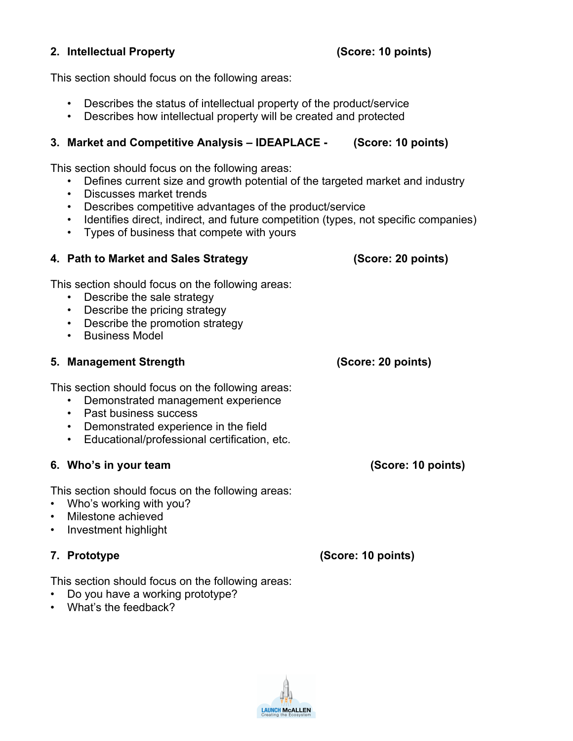#### **2. Intellectual Property (Score: 10 points)**

This section should focus on the following areas:

- Describes the status of intellectual property of the product/service
- Describes how intellectual property will be created and protected

#### **3. Market and Competitive Analysis – IDEAPLACE - (Score: 10 points)**

This section should focus on the following areas:

- Defines current size and growth potential of the targeted market and industry
- Discusses market trends
- Describes competitive advantages of the product/service
- Identifies direct, indirect, and future competition (types, not specific companies)
- Types of business that compete with yours

### **4. Path to Market and Sales Strategy (Score: 20 points)**

This section should focus on the following areas:

- Describe the sale strategy
- Describe the pricing strategy
- Describe the promotion strategy
- Business Model

#### **5. Management Strength (Score: 20 points)**

This section should focus on the following areas:

- Demonstrated management experience
- Past business success
- Demonstrated experience in the field
- Educational/professional certification, etc.

#### **6. Who's in your team (Score: 10 points)**

This section should focus on the following areas:

- Who's working with you?
- Milestone achieved
- Investment highlight

### **7. Prototype (Score: 10 points)**

This section should focus on the following areas:

- Do you have a working prototype?
- What's the feedback?